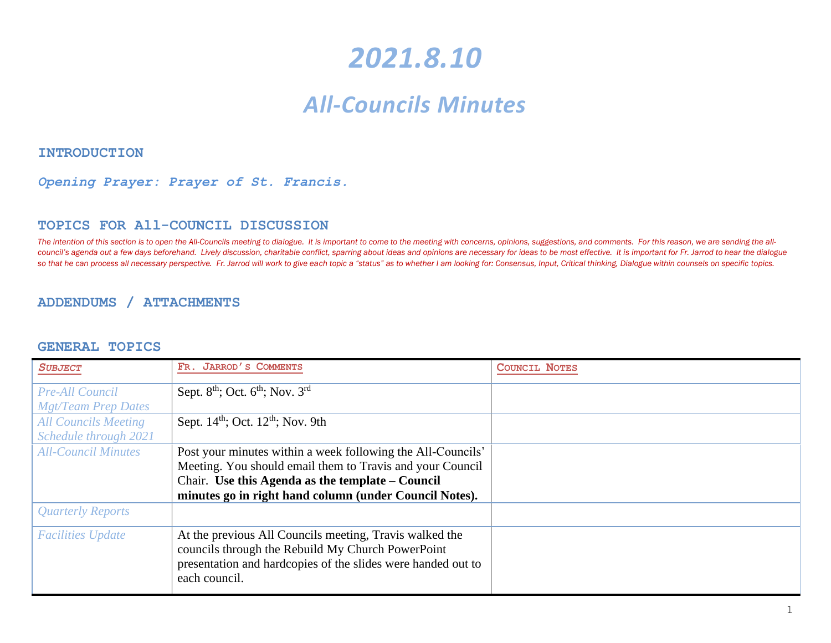# *2021.8.10*

# *All-Councils Minutes*

#### **INTRODUCTION**

#### *Opening Prayer: Prayer of St. Francis.*

#### **TOPICS FOR All-COUNCIL DISCUSSION**

The intention of this section is to open the All-Councils meeting to dialogue. It is important to come to the meeting with concerns, opinions, suggestions, and comments. For this reason, we are sending the allcouncil's agenda out a few days beforehand. Lively discussion, charitable conflict, sparring about ideas and opinions are necessary for ideas to be most effective. It is important for Fr. Jarrod to hear the dialogue so that he can process all necessary perspective. Fr. Jarrod will work to give each topic a "status" as to whether I am looking for: Consensus, Input, Critical thinking, Dialogue within counsels on specific topics.

#### **ADDENDUMS / ATTACHMENTS**

#### **GENERAL TOPICS**

| <b>SUBJECT</b>              | FR. JARROD'S COMMENTS                                        | <b>COUNCIL NOTES</b> |
|-----------------------------|--------------------------------------------------------------|----------------------|
| <b>Pre-All Council</b>      | Sept. $8th$ ; Oct. $6th$ ; Nov. $3rd$                        |                      |
| <b>Mgt/Team Prep Dates</b>  |                                                              |                      |
| <b>All Councils Meeting</b> | Sept. $14th$ ; Oct. $12th$ ; Nov. 9th                        |                      |
| Schedule through 2021       |                                                              |                      |
| <b>All-Council Minutes</b>  | Post your minutes within a week following the All-Councils'  |                      |
|                             | Meeting. You should email them to Travis and your Council    |                      |
|                             | Chair. Use this Agenda as the template – Council             |                      |
|                             | minutes go in right hand column (under Council Notes).       |                      |
| <b>Quarterly Reports</b>    |                                                              |                      |
| <b>Facilities Update</b>    | At the previous All Councils meeting, Travis walked the      |                      |
|                             | councils through the Rebuild My Church PowerPoint            |                      |
|                             | presentation and hardcopies of the slides were handed out to |                      |
|                             | each council.                                                |                      |
|                             |                                                              |                      |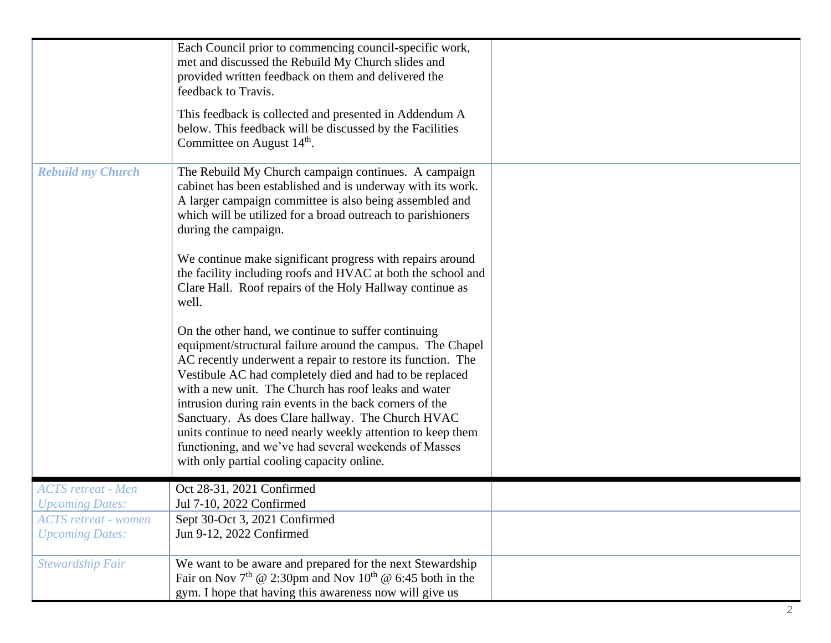|                                                            | Each Council prior to commencing council-specific work,<br>met and discussed the Rebuild My Church slides and<br>provided written feedback on them and delivered the<br>feedback to Travis.<br>This feedback is collected and presented in Addendum A<br>below. This feedback will be discussed by the Facilities<br>Committee on August 14 <sup>th</sup> .                                                                                                                                                                                                                               |  |
|------------------------------------------------------------|-------------------------------------------------------------------------------------------------------------------------------------------------------------------------------------------------------------------------------------------------------------------------------------------------------------------------------------------------------------------------------------------------------------------------------------------------------------------------------------------------------------------------------------------------------------------------------------------|--|
| <b>Rebuild my Church</b>                                   | The Rebuild My Church campaign continues. A campaign<br>cabinet has been established and is underway with its work.<br>A larger campaign committee is also being assembled and<br>which will be utilized for a broad outreach to parishioners<br>during the campaign.                                                                                                                                                                                                                                                                                                                     |  |
|                                                            | We continue make significant progress with repairs around<br>the facility including roofs and HVAC at both the school and<br>Clare Hall. Roof repairs of the Holy Hallway continue as<br>well.                                                                                                                                                                                                                                                                                                                                                                                            |  |
|                                                            | On the other hand, we continue to suffer continuing<br>equipment/structural failure around the campus. The Chapel<br>AC recently underwent a repair to restore its function. The<br>Vestibule AC had completely died and had to be replaced<br>with a new unit. The Church has roof leaks and water<br>intrusion during rain events in the back corners of the<br>Sanctuary. As does Clare hallway. The Church HVAC<br>units continue to need nearly weekly attention to keep them<br>functioning, and we've had several weekends of Masses<br>with only partial cooling capacity online. |  |
| <b>ACTS</b> retreat - Men<br><i><b>Upcoming Dates:</b></i> | Oct 28-31, 2021 Confirmed<br>Jul 7-10, 2022 Confirmed                                                                                                                                                                                                                                                                                                                                                                                                                                                                                                                                     |  |
| <b>ACTS</b> retreat - women<br><b>Upcoming Dates:</b>      | Sept 30-Oct 3, 2021 Confirmed<br>Jun 9-12, 2022 Confirmed                                                                                                                                                                                                                                                                                                                                                                                                                                                                                                                                 |  |
| <b>Stewardship Fair</b>                                    | We want to be aware and prepared for the next Stewardship<br>Fair on Nov $7th$ @ 2:30pm and Nov 10 <sup>th</sup> @ 6:45 both in the<br>gym. I hope that having this awareness now will give us                                                                                                                                                                                                                                                                                                                                                                                            |  |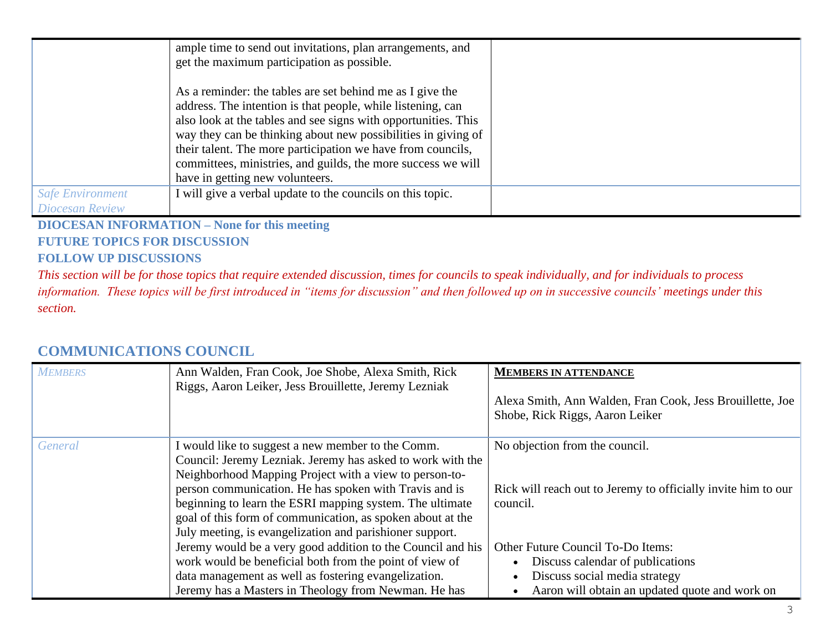|                         | ample time to send out invitations, plan arrangements, and<br>get the maximum participation as possible.                                                                                                                                                                                                                                                                                                                      |  |
|-------------------------|-------------------------------------------------------------------------------------------------------------------------------------------------------------------------------------------------------------------------------------------------------------------------------------------------------------------------------------------------------------------------------------------------------------------------------|--|
|                         | As a reminder: the tables are set behind me as I give the<br>address. The intention is that people, while listening, can<br>also look at the tables and see signs with opportunities. This<br>way they can be thinking about new possibilities in giving of<br>their talent. The more participation we have from councils,<br>committees, ministries, and guilds, the more success we will<br>have in getting new volunteers. |  |
| <b>Safe Environment</b> | I will give a verbal update to the councils on this topic.                                                                                                                                                                                                                                                                                                                                                                    |  |
| <b>Diocesan Review</b>  |                                                                                                                                                                                                                                                                                                                                                                                                                               |  |

#### **DIOCESAN INFORMATION – None for this meeting FUTURE TOPICS FOR DISCUSSION FOLLOW UP DISCUSSIONS**

*This section will be for those topics that require extended discussion, times for councils to speak individually, and for individuals to process information. These topics will be first introduced in "items for discussion" and then followed up on in successive councils' meetings under this section.*

## **COMMUNICATIONS COUNCIL**

| <b>MEMBERS</b> | Ann Walden, Fran Cook, Joe Shobe, Alexa Smith, Rick<br>Riggs, Aaron Leiker, Jess Brouillette, Jeremy Lezniak                                                                                                                                                                                                                                                                                                              | <b>MEMBERS IN ATTENDANCE</b><br>Alexa Smith, Ann Walden, Fran Cook, Jess Brouillette, Joe<br>Shobe, Rick Riggs, Aaron Leiker                             |
|----------------|---------------------------------------------------------------------------------------------------------------------------------------------------------------------------------------------------------------------------------------------------------------------------------------------------------------------------------------------------------------------------------------------------------------------------|----------------------------------------------------------------------------------------------------------------------------------------------------------|
| General        | I would like to suggest a new member to the Comm.<br>Council: Jeremy Lezniak. Jeremy has asked to work with the<br>Neighborhood Mapping Project with a view to person-to-<br>person communication. He has spoken with Travis and is<br>beginning to learn the ESRI mapping system. The ultimate<br>goal of this form of communication, as spoken about at the<br>July meeting, is evangelization and parishioner support. | No objection from the council.<br>Rick will reach out to Jeremy to officially invite him to our<br>council.                                              |
|                | Jeremy would be a very good addition to the Council and his<br>work would be beneficial both from the point of view of<br>data management as well as fostering evangelization.<br>Jeremy has a Masters in Theology from Newman. He has                                                                                                                                                                                    | Other Future Council To-Do Items:<br>Discuss calendar of publications<br>Discuss social media strategy<br>Aaron will obtain an updated quote and work on |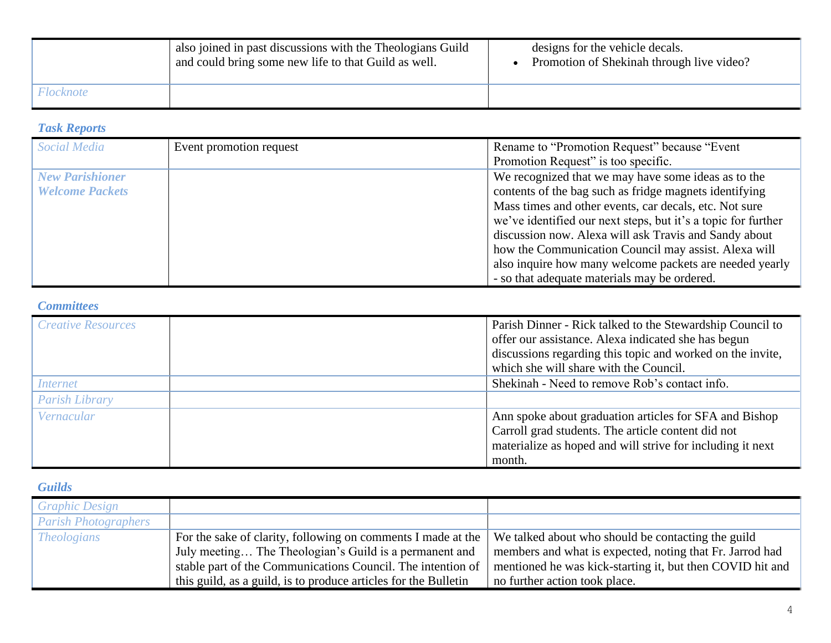|           | also joined in past discussions with the Theologians Guild<br>and could bring some new life to that Guild as well. | designs for the vehicle decals.<br>Promotion of Shekinah through live video? |
|-----------|--------------------------------------------------------------------------------------------------------------------|------------------------------------------------------------------------------|
| Flocknote |                                                                                                                    |                                                                              |

#### *Task Reports*

| <b>Social Media</b>    | Event promotion request | Rename to "Promotion Request" because "Event"<br>Promotion Request" is too specific. |
|------------------------|-------------------------|--------------------------------------------------------------------------------------|
|                        |                         |                                                                                      |
| <b>New Parishioner</b> |                         | We recognized that we may have some ideas as to the                                  |
| <b>Welcome Packets</b> |                         | contents of the bag such as fridge magnets identifying                               |
|                        |                         | Mass times and other events, car decals, etc. Not sure                               |
|                        |                         | we've identified our next steps, but it's a topic for further                        |
|                        |                         | discussion now. Alexa will ask Travis and Sandy about                                |
|                        |                         | how the Communication Council may assist. Alexa will                                 |
|                        |                         | also inquire how many welcome packets are needed yearly                              |
|                        |                         | - so that adequate materials may be ordered.                                         |

## *Committees*

| <b>Creative Resources</b> | Parish Dinner - Rick talked to the Stewardship Council to<br>offer our assistance. Alexa indicated she has begun<br>discussions regarding this topic and worked on the invite,<br>which she will share with the Council. |  |
|---------------------------|--------------------------------------------------------------------------------------------------------------------------------------------------------------------------------------------------------------------------|--|
| <i>Internet</i>           | Shekinah - Need to remove Rob's contact info.                                                                                                                                                                            |  |
| <b>Parish Library</b>     |                                                                                                                                                                                                                          |  |
| Vernacular                | Ann spoke about graduation articles for SFA and Bishop<br>Carroll grad students. The article content did not<br>materialize as hoped and will strive for including it next<br>month.                                     |  |

## *Guilds*

| <b>Graphic Design</b>       |                                                                 |                                                           |
|-----------------------------|-----------------------------------------------------------------|-----------------------------------------------------------|
| <b>Parish Photographers</b> |                                                                 |                                                           |
| <i>Theologians</i>          | For the sake of clarity, following on comments I made at the    | We talked about who should be contacting the guild        |
|                             | July meeting The Theologian's Guild is a permanent and          | members and what is expected, noting that Fr. Jarrod had  |
|                             | stable part of the Communications Council. The intention of     | mentioned he was kick-starting it, but then COVID hit and |
|                             | this guild, as a guild, is to produce articles for the Bulletin | no further action took place.                             |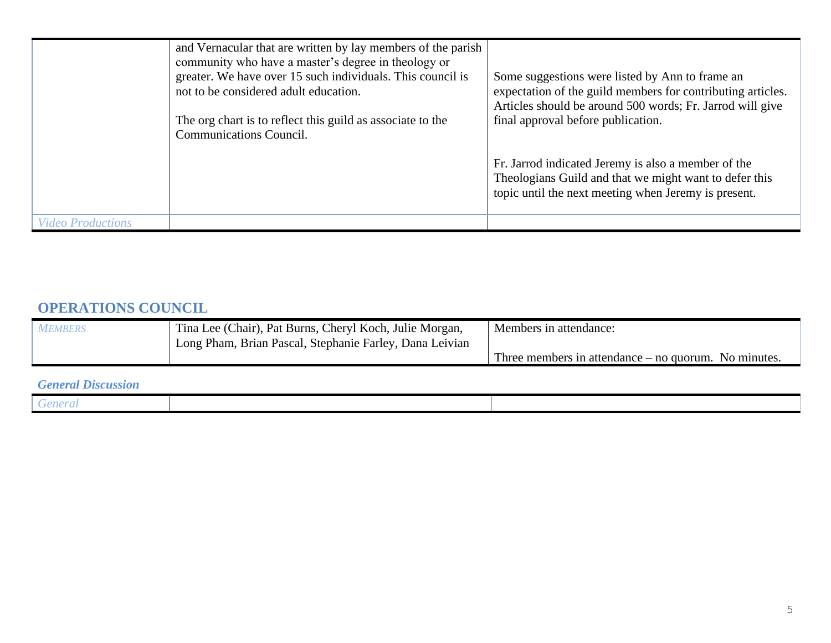|                          | and Vernacular that are written by lay members of the parish<br>community who have a master's degree in theology or<br>greater. We have over 15 such individuals. This council is<br>not to be considered adult education.<br>The org chart is to reflect this guild as associate to the<br><b>Communications Council.</b> | Some suggestions were listed by Ann to frame an<br>expectation of the guild members for contributing articles.<br>Articles should be around 500 words; Fr. Jarrod will give<br>final approval before publication. |
|--------------------------|----------------------------------------------------------------------------------------------------------------------------------------------------------------------------------------------------------------------------------------------------------------------------------------------------------------------------|-------------------------------------------------------------------------------------------------------------------------------------------------------------------------------------------------------------------|
|                          |                                                                                                                                                                                                                                                                                                                            | Fr. Jarrod indicated Jeremy is also a member of the<br>Theologians Guild and that we might want to defer this<br>topic until the next meeting when Jeremy is present.                                             |
| <i>Video Productions</i> |                                                                                                                                                                                                                                                                                                                            |                                                                                                                                                                                                                   |

# **OPERATIONS COUNCIL**

| <b>MEMBERS</b> | Tina Lee (Chair), Pat Burns, Cheryl Koch, Julie Morgan,<br>Long Pham, Brian Pascal, Stephanie Farley, Dana Leivian | Members in attendance:                                 |
|----------------|--------------------------------------------------------------------------------------------------------------------|--------------------------------------------------------|
|                |                                                                                                                    | Three members in attendance $-$ no quorum. No minutes. |

#### *General Discussion*

| . . |  |
|-----|--|
| .   |  |
|     |  |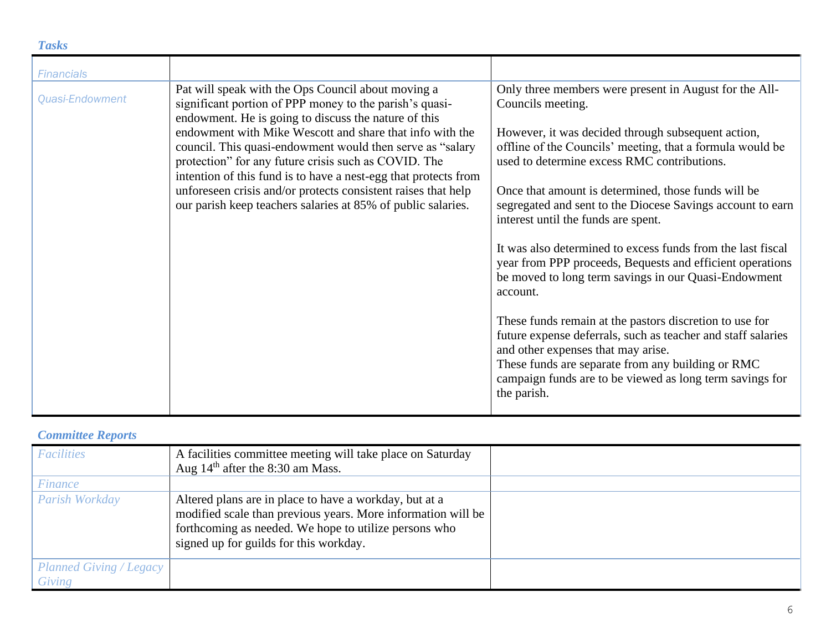#### *Tasks*

| <b>Financials</b> |                                                                                                                                                                                                                                                                                                                                                                                                                                                                                                                                                            |                                                                                                                                                                                                                                                                                                                                                                                                                                                                                                                                                                                                                                                                                                                                                                                                                                                                                                            |
|-------------------|------------------------------------------------------------------------------------------------------------------------------------------------------------------------------------------------------------------------------------------------------------------------------------------------------------------------------------------------------------------------------------------------------------------------------------------------------------------------------------------------------------------------------------------------------------|------------------------------------------------------------------------------------------------------------------------------------------------------------------------------------------------------------------------------------------------------------------------------------------------------------------------------------------------------------------------------------------------------------------------------------------------------------------------------------------------------------------------------------------------------------------------------------------------------------------------------------------------------------------------------------------------------------------------------------------------------------------------------------------------------------------------------------------------------------------------------------------------------------|
| Quasi-Endowment   | Pat will speak with the Ops Council about moving a<br>significant portion of PPP money to the parish's quasi-<br>endowment. He is going to discuss the nature of this<br>endowment with Mike Wescott and share that info with the<br>council. This quasi-endowment would then serve as "salary<br>protection" for any future crisis such as COVID. The<br>intention of this fund is to have a nest-egg that protects from<br>unforeseen crisis and/or protects consistent raises that help<br>our parish keep teachers salaries at 85% of public salaries. | Only three members were present in August for the All-<br>Councils meeting.<br>However, it was decided through subsequent action,<br>offline of the Councils' meeting, that a formula would be<br>used to determine excess RMC contributions.<br>Once that amount is determined, those funds will be<br>segregated and sent to the Diocese Savings account to earn<br>interest until the funds are spent.<br>It was also determined to excess funds from the last fiscal<br>year from PPP proceeds, Bequests and efficient operations<br>be moved to long term savings in our Quasi-Endowment<br>account.<br>These funds remain at the pastors discretion to use for<br>future expense deferrals, such as teacher and staff salaries<br>and other expenses that may arise.<br>These funds are separate from any building or RMC<br>campaign funds are to be viewed as long term savings for<br>the parish. |

#### *Committee Reports*

| <b>Facilities</b>                        | A facilities committee meeting will take place on Saturday<br>Aug $14th$ after the 8:30 am Mass.                                                                                                                          |  |
|------------------------------------------|---------------------------------------------------------------------------------------------------------------------------------------------------------------------------------------------------------------------------|--|
| <i>Finance</i>                           |                                                                                                                                                                                                                           |  |
| Parish Workday                           | Altered plans are in place to have a workday, but at a<br>modified scale than previous years. More information will be<br>forthcoming as needed. We hope to utilize persons who<br>signed up for guilds for this workday. |  |
| <b>Planned Giving / Legacy</b><br>Giving |                                                                                                                                                                                                                           |  |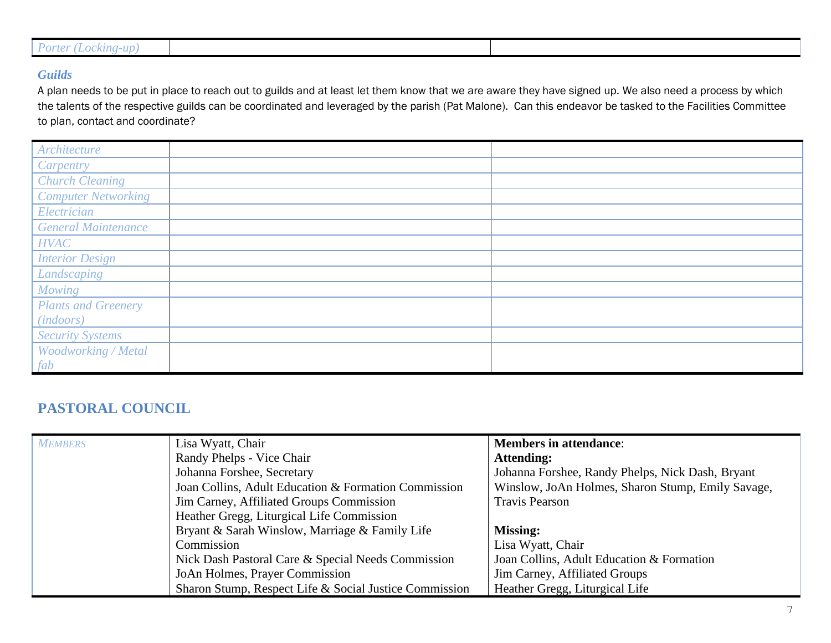| <i>Porter</i> (L <sub>i</sub><br>the control of the con- |  |
|----------------------------------------------------------|--|
| kıng-up'<br>LOCKI                                        |  |
|                                                          |  |
|                                                          |  |
|                                                          |  |

#### *Guilds*

A plan needs to be put in place to reach out to guilds and at least let them know that we are aware they have signed up. We also need a process by which the talents of the respective guilds can be coordinated and leveraged by the parish (Pat Malone). Can this endeavor be tasked to the Facilities Committee to plan, contact and coordinate?

| Architecture               |  |
|----------------------------|--|
| Carpentry                  |  |
| <b>Church Cleaning</b>     |  |
| <b>Computer Networking</b> |  |
| Electrician                |  |
| <b>General Maintenance</b> |  |
| <b>HVAC</b>                |  |
| <b>Interior Design</b>     |  |
| Landscaping                |  |
| <b>Mowing</b>              |  |
| <b>Plants and Greenery</b> |  |
| (in doors)                 |  |
| <b>Security Systems</b>    |  |
| Woodworking / Metal        |  |
| fab                        |  |

# **PASTORAL COUNCIL**

| <b>MEMBERS</b> | Lisa Wyatt, Chair                                      | <b>Members in attendance:</b>                     |
|----------------|--------------------------------------------------------|---------------------------------------------------|
|                | Randy Phelps - Vice Chair                              | <b>Attending:</b>                                 |
|                | Johanna Forshee, Secretary                             | Johanna Forshee, Randy Phelps, Nick Dash, Bryant  |
|                | Joan Collins, Adult Education & Formation Commission   | Winslow, JoAn Holmes, Sharon Stump, Emily Savage, |
|                | Jim Carney, Affiliated Groups Commission               | <b>Travis Pearson</b>                             |
|                | Heather Gregg, Liturgical Life Commission              |                                                   |
|                | Bryant & Sarah Winslow, Marriage & Family Life         | <b>Missing:</b>                                   |
|                | Commission                                             | Lisa Wyatt, Chair                                 |
|                | Nick Dash Pastoral Care & Special Needs Commission     | Joan Collins, Adult Education & Formation         |
|                | JoAn Holmes, Prayer Commission                         | Jim Carney, Affiliated Groups                     |
|                | Sharon Stump, Respect Life & Social Justice Commission | Heather Gregg, Liturgical Life                    |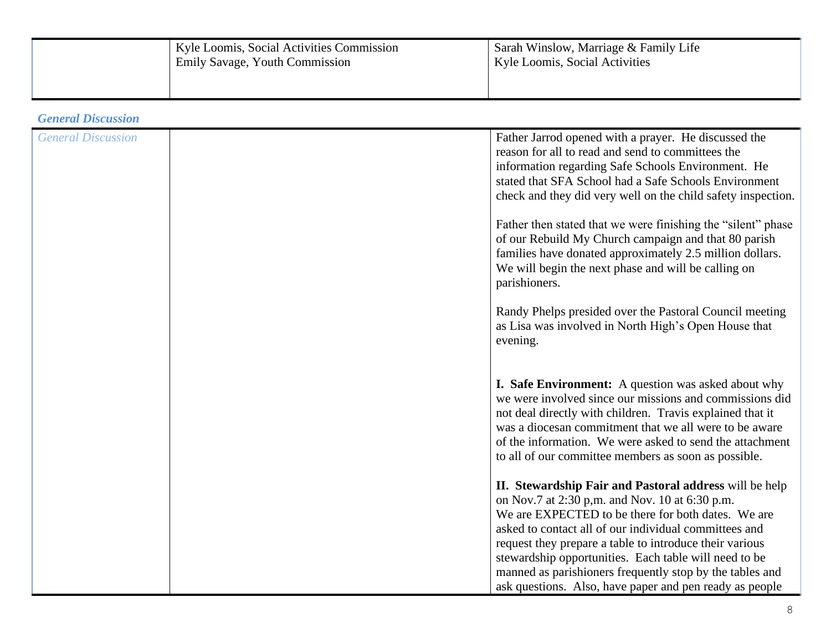| Kyle Loomis, Social Activities Commission<br>' Emily Savage, Youth Commission | Sarah Winslow, Marriage & Family Life<br>Kyle Loomis, Social Activities |
|-------------------------------------------------------------------------------|-------------------------------------------------------------------------|
|                                                                               |                                                                         |

*General Discussion*

| <b>General Discussion</b> | Father Jarrod opened with a prayer. He discussed the         |
|---------------------------|--------------------------------------------------------------|
|                           | reason for all to read and send to committees the            |
|                           | information regarding Safe Schools Environment. He           |
|                           | stated that SFA School had a Safe Schools Environment        |
|                           | check and they did very well on the child safety inspection. |
|                           |                                                              |
|                           | Father then stated that we were finishing the "silent" phase |
|                           |                                                              |
|                           | of our Rebuild My Church campaign and that 80 parish         |
|                           | families have donated approximately 2.5 million dollars.     |
|                           | We will begin the next phase and will be calling on          |
|                           | parishioners.                                                |
|                           | Randy Phelps presided over the Pastoral Council meeting      |
|                           |                                                              |
|                           | as Lisa was involved in North High's Open House that         |
|                           | evening.                                                     |
|                           |                                                              |
|                           | <b>I. Safe Environment:</b> A question was asked about why   |
|                           | we were involved since our missions and commissions did      |
|                           |                                                              |
|                           | not deal directly with children. Travis explained that it    |
|                           | was a diocesan commitment that we all were to be aware       |
|                           | of the information. We were asked to send the attachment     |
|                           | to all of our committee members as soon as possible.         |
|                           |                                                              |
|                           | II. Stewardship Fair and Pastoral address will be help       |
|                           | on Nov.7 at 2:30 p,m. and Nov. 10 at 6:30 p.m.               |
|                           | We are EXPECTED to be there for both dates. We are           |
|                           | asked to contact all of our individual committees and        |
|                           | request they prepare a table to introduce their various      |
|                           | stewardship opportunities. Each table will need to be        |
|                           | manned as parishioners frequently stop by the tables and     |
|                           | ask questions. Also, have paper and pen ready as people      |
|                           |                                                              |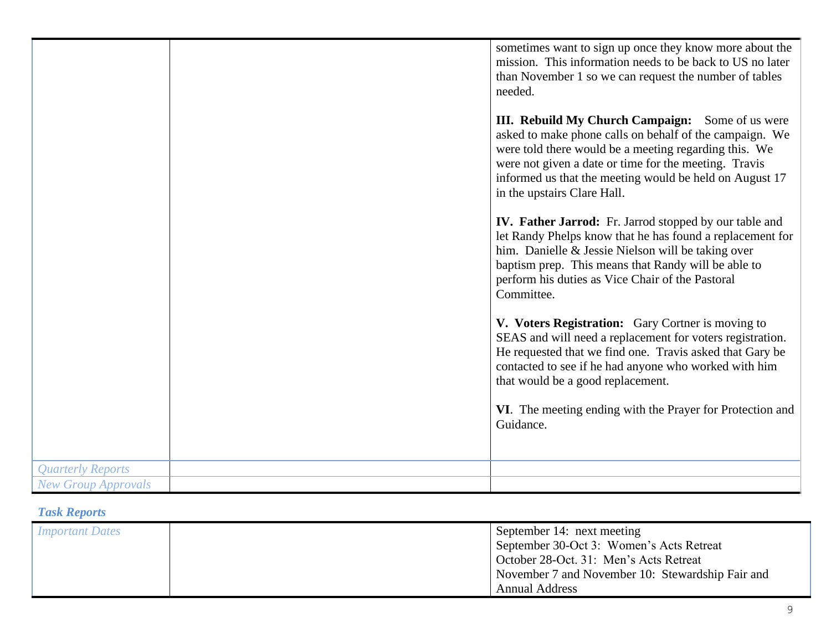|                            | sometimes want to sign up once they know more about the<br>mission. This information needs to be back to US no later<br>than November 1 so we can request the number of tables<br>needed.<br>III. Rebuild My Church Campaign: Some of us were<br>asked to make phone calls on behalf of the campaign. We<br>were told there would be a meeting regarding this. We<br>were not given a date or time for the meeting. Travis<br>informed us that the meeting would be held on August 17<br>in the upstairs Clare Hall.<br><b>IV. Father Jarrod:</b> Fr. Jarrod stopped by our table and<br>let Randy Phelps know that he has found a replacement for<br>him. Danielle & Jessie Nielson will be taking over<br>baptism prep. This means that Randy will be able to<br>perform his duties as Vice Chair of the Pastoral<br>Committee.<br>V. Voters Registration: Gary Cortner is moving to<br>SEAS and will need a replacement for voters registration.<br>He requested that we find one. Travis asked that Gary be<br>contacted to see if he had anyone who worked with him<br>that would be a good replacement.<br>VI. The meeting ending with the Prayer for Protection and |
|----------------------------|----------------------------------------------------------------------------------------------------------------------------------------------------------------------------------------------------------------------------------------------------------------------------------------------------------------------------------------------------------------------------------------------------------------------------------------------------------------------------------------------------------------------------------------------------------------------------------------------------------------------------------------------------------------------------------------------------------------------------------------------------------------------------------------------------------------------------------------------------------------------------------------------------------------------------------------------------------------------------------------------------------------------------------------------------------------------------------------------------------------------------------------------------------------------------|
|                            | Guidance.                                                                                                                                                                                                                                                                                                                                                                                                                                                                                                                                                                                                                                                                                                                                                                                                                                                                                                                                                                                                                                                                                                                                                                  |
| <b>Quarterly Reports</b>   |                                                                                                                                                                                                                                                                                                                                                                                                                                                                                                                                                                                                                                                                                                                                                                                                                                                                                                                                                                                                                                                                                                                                                                            |
| <b>New Group Approvals</b> |                                                                                                                                                                                                                                                                                                                                                                                                                                                                                                                                                                                                                                                                                                                                                                                                                                                                                                                                                                                                                                                                                                                                                                            |

# *Task Reports*

| <i>Important Dates</i> | September 14: next meeting<br>September 30-Oct 3: Women's Acts Retreat<br>October 28-Oct. 31: Men's Acts Retreat |
|------------------------|------------------------------------------------------------------------------------------------------------------|
|                        | November 7 and November 10: Stewardship Fair and                                                                 |
|                        | <b>Annual Address</b>                                                                                            |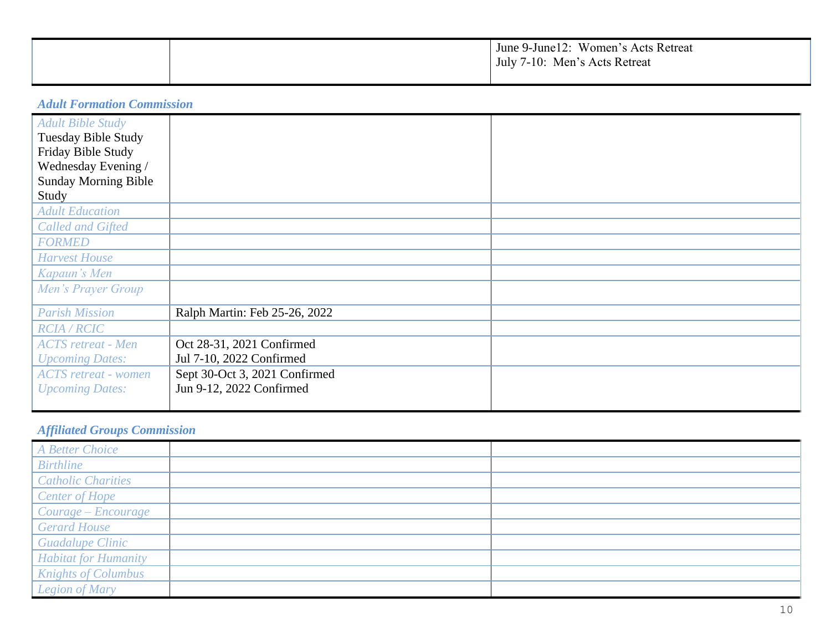|  | June 9-June 12: Women's Acts Retreat<br>July 7-10: Men's Acts Retreat |
|--|-----------------------------------------------------------------------|
|  |                                                                       |

*Adult Formation Commission*

| <b>Adult Bible Study</b>    |                               |  |
|-----------------------------|-------------------------------|--|
| <b>Tuesday Bible Study</b>  |                               |  |
| Friday Bible Study          |                               |  |
| Wednesday Evening /         |                               |  |
| <b>Sunday Morning Bible</b> |                               |  |
| Study                       |                               |  |
| <b>Adult Education</b>      |                               |  |
| <b>Called and Gifted</b>    |                               |  |
| <b>FORMED</b>               |                               |  |
| <b>Harvest House</b>        |                               |  |
| Kapaun's Men                |                               |  |
| Men's Prayer Group          |                               |  |
|                             |                               |  |
| <b>Parish Mission</b>       | Ralph Martin: Feb 25-26, 2022 |  |
| <b>RCIA/RCIC</b>            |                               |  |
| <b>ACTS</b> retreat - Men   | Oct 28-31, 2021 Confirmed     |  |
| <b>Upcoming Dates:</b>      | Jul 7-10, 2022 Confirmed      |  |
| <b>ACTS</b> retreat - women | Sept 30-Oct 3, 2021 Confirmed |  |
| <b>Upcoming Dates:</b>      | Jun 9-12, 2022 Confirmed      |  |
|                             |                               |  |

# *Affiliated Groups Commission*

| A Better Choice             |  |
|-----------------------------|--|
| <b>Birthline</b>            |  |
| <b>Catholic Charities</b>   |  |
| Center of Hope              |  |
| Courage - Encourage         |  |
| <b>Gerard House</b>         |  |
| <b>Guadalupe Clinic</b>     |  |
| <b>Habitat for Humanity</b> |  |
| <b>Knights of Columbus</b>  |  |
| <b>Legion of Mary</b>       |  |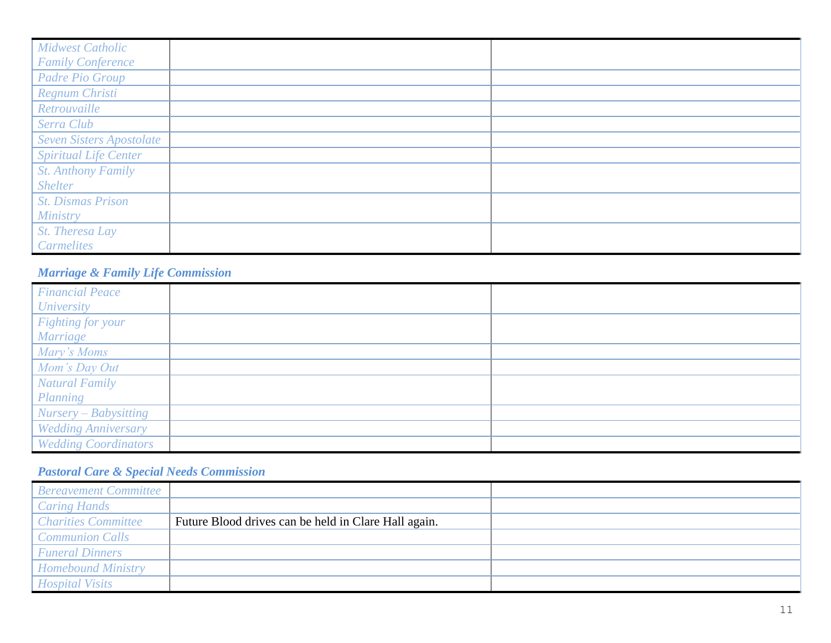| <b>Midwest Catholic</b>         |  |
|---------------------------------|--|
| <b>Family Conference</b>        |  |
| <b>Padre Pio Group</b>          |  |
| Regnum Christi                  |  |
| Retrouvaille                    |  |
| Serra Club                      |  |
| <b>Seven Sisters Apostolate</b> |  |
| <b>Spiritual Life Center</b>    |  |
| <b>St. Anthony Family</b>       |  |
| <b>Shelter</b>                  |  |
| <b>St. Dismas Prison</b>        |  |
| Ministry                        |  |
| St. Theresa Lay                 |  |
| Carmelites                      |  |

# *Marriage & Family Life Commission*

| <b>Financial Peace</b>      |  |
|-----------------------------|--|
| <b>University</b>           |  |
| Fighting for your           |  |
| Marriage                    |  |
| Mary's Moms                 |  |
| Mom's Day Out               |  |
| <b>Natural Family</b>       |  |
| Planning                    |  |
| Nursery – Babysitting       |  |
| <b>Wedding Anniversary</b>  |  |
| <b>Wedding Coordinators</b> |  |

# *Pastoral Care & Special Needs Commission*

| <b>Bereavement Committee</b> |                                                      |  |
|------------------------------|------------------------------------------------------|--|
| <b>Caring Hands</b>          |                                                      |  |
| <b>Charities Committee</b>   | Future Blood drives can be held in Clare Hall again. |  |
| <b>Communion Calls</b>       |                                                      |  |
| <b>Funeral Dinners</b>       |                                                      |  |
| <b>Homebound Ministry</b>    |                                                      |  |
| <b>Hospital Visits</b>       |                                                      |  |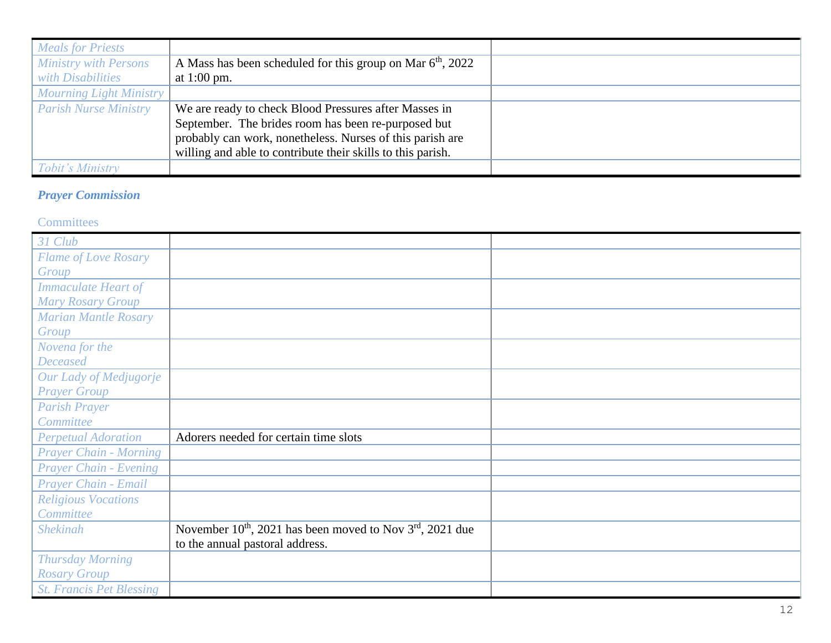| <b>Meals for Priests</b>       |                                                              |  |
|--------------------------------|--------------------------------------------------------------|--|
| <b>Ministry with Persons</b>   | A Mass has been scheduled for this group on Mar $6th$ , 2022 |  |
| with Disabilities              | at 1:00 pm.                                                  |  |
| <b>Mourning Light Ministry</b> |                                                              |  |
| <b>Parish Nurse Ministry</b>   | We are ready to check Blood Pressures after Masses in        |  |
|                                | September. The brides room has been re-purposed but          |  |
|                                | probably can work, nonetheless. Nurses of this parish are    |  |
|                                | willing and able to contribute their skills to this parish.  |  |
| <i>Tobit's Ministry</i>        |                                                              |  |

# *Prayer Commission*

#### **Committees**

| 31 Club                         |                                                                     |  |
|---------------------------------|---------------------------------------------------------------------|--|
| <b>Flame of Love Rosary</b>     |                                                                     |  |
| Group                           |                                                                     |  |
| <b>Immaculate Heart of</b>      |                                                                     |  |
| <b>Mary Rosary Group</b>        |                                                                     |  |
| <b>Marian Mantle Rosary</b>     |                                                                     |  |
| Group                           |                                                                     |  |
| Novena for the                  |                                                                     |  |
| <b>Deceased</b>                 |                                                                     |  |
| Our Lady of Medjugorje          |                                                                     |  |
| <b>Prayer Group</b>             |                                                                     |  |
| <b>Parish Prayer</b>            |                                                                     |  |
| Committee                       |                                                                     |  |
| <b>Perpetual Adoration</b>      | Adorers needed for certain time slots                               |  |
| <b>Prayer Chain - Morning</b>   |                                                                     |  |
| Prayer Chain - Evening          |                                                                     |  |
| Prayer Chain - Email            |                                                                     |  |
| <b>Religious Vocations</b>      |                                                                     |  |
| Committee                       |                                                                     |  |
| <b>Shekinah</b>                 | November $10^{th}$ , 2021 has been moved to Nov $3^{rd}$ , 2021 due |  |
|                                 | to the annual pastoral address.                                     |  |
| <b>Thursday Morning</b>         |                                                                     |  |
| <b>Rosary Group</b>             |                                                                     |  |
| <b>St. Francis Pet Blessing</b> |                                                                     |  |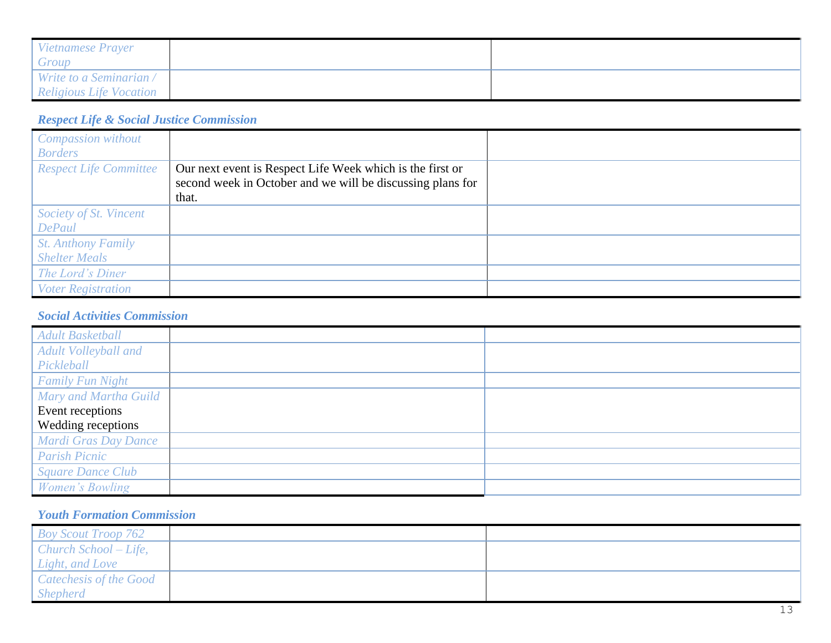| Vietnamese Prayer              |  |
|--------------------------------|--|
| Group                          |  |
| Write to a Seminarian /        |  |
| <b>Religious Life Vocation</b> |  |

# *Respect Life & Social Justice Commission*

| <b>Compassion without</b>     |                                                            |  |
|-------------------------------|------------------------------------------------------------|--|
| <b>Borders</b>                |                                                            |  |
| <b>Respect Life Committee</b> | Our next event is Respect Life Week which is the first or  |  |
|                               | second week in October and we will be discussing plans for |  |
|                               | that.                                                      |  |
| Society of St. Vincent        |                                                            |  |
| <b>DePaul</b>                 |                                                            |  |
| <b>St. Anthony Family</b>     |                                                            |  |
| <b>Shelter Meals</b>          |                                                            |  |
| The Lord's Diner              |                                                            |  |
| <b>Voter Registration</b>     |                                                            |  |

#### *Social Activities Commission*

| <b>Adult Basketball</b>  |  |
|--------------------------|--|
| Adult Volleyball and     |  |
| Pickleball               |  |
| <b>Family Fun Night</b>  |  |
| Mary and Martha Guild    |  |
| Event receptions         |  |
| Wedding receptions       |  |
| Mardi Gras Day Dance     |  |
| <b>Parish Picnic</b>     |  |
| <b>Square Dance Club</b> |  |
| Women's Bowling          |  |

## *Youth Formation Commission*

| <b>Boy Scout Troop 762</b> |  |
|----------------------------|--|
| Church School – Life,      |  |
| <i>Light, and Love</i>     |  |
| Catechesis of the Good     |  |
| <i>Shepherd</i>            |  |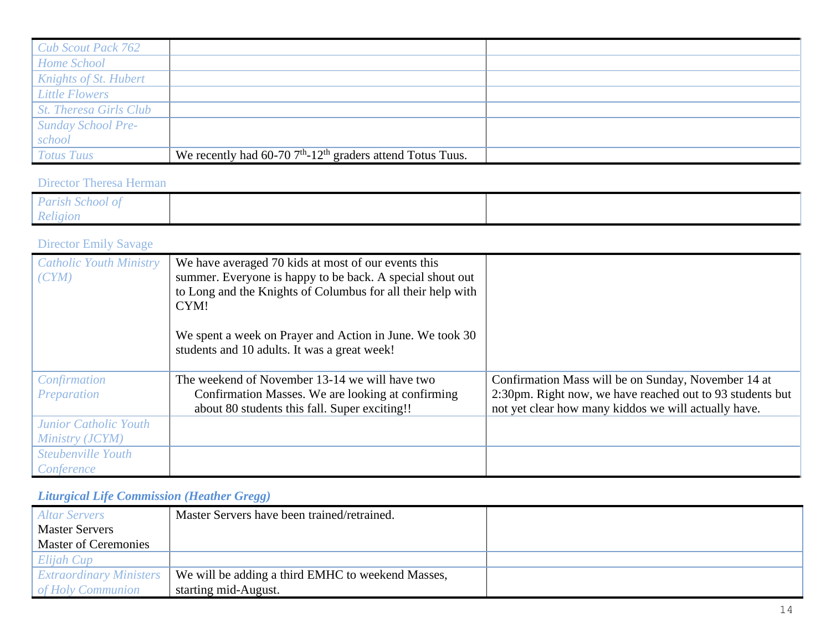| <b>Cub Scout Pack 762</b> |                                                                            |  |
|---------------------------|----------------------------------------------------------------------------|--|
| Home School               |                                                                            |  |
| Knights of St. Hubert     |                                                                            |  |
| <b>Little Flowers</b>     |                                                                            |  |
| St. Theresa Girls Club    |                                                                            |  |
| Sunday School Pre-        |                                                                            |  |
| school                    |                                                                            |  |
| <b>Totus Tuus</b>         | We recently had $60-70$ $7th$ -12 <sup>th</sup> graders attend Totus Tuus. |  |

## Director Theresa Herman

| Parish School of |  |
|------------------|--|
| Religion         |  |

# Director Emily Savage

| <b>Catholic Youth Ministry</b><br>(CYM) | We have averaged 70 kids at most of our events this<br>summer. Everyone is happy to be back. A special shout out |                                                           |
|-----------------------------------------|------------------------------------------------------------------------------------------------------------------|-----------------------------------------------------------|
|                                         | to Long and the Knights of Columbus for all their help with                                                      |                                                           |
|                                         | CYM!                                                                                                             |                                                           |
|                                         | We spent a week on Prayer and Action in June. We took 30<br>students and 10 adults. It was a great week!         |                                                           |
| Confirmation                            | The weekend of November 13-14 we will have two                                                                   | Confirmation Mass will be on Sunday, November 14 at       |
| Preparation                             | Confirmation Masses. We are looking at confirming                                                                | 2:30pm. Right now, we have reached out to 93 students but |
|                                         | about 80 students this fall. Super exciting!!                                                                    | not yet clear how many kiddos we will actually have.      |
| <b>Junior Catholic Youth</b>            |                                                                                                                  |                                                           |
| Ministry (JCYM)                         |                                                                                                                  |                                                           |
| Steubenville Youth                      |                                                                                                                  |                                                           |
| Conference                              |                                                                                                                  |                                                           |

# *Liturgical Life Commission (Heather Gregg)*

| <b>Altar Servers</b>           | Master Servers have been trained/retrained.       |  |
|--------------------------------|---------------------------------------------------|--|
| <b>Master Servers</b>          |                                                   |  |
| <b>Master of Ceremonies</b>    |                                                   |  |
| Elijah Cup                     |                                                   |  |
| <b>Extraordinary Ministers</b> | We will be adding a third EMHC to weekend Masses, |  |
| of Holy Communion              | starting mid-August.                              |  |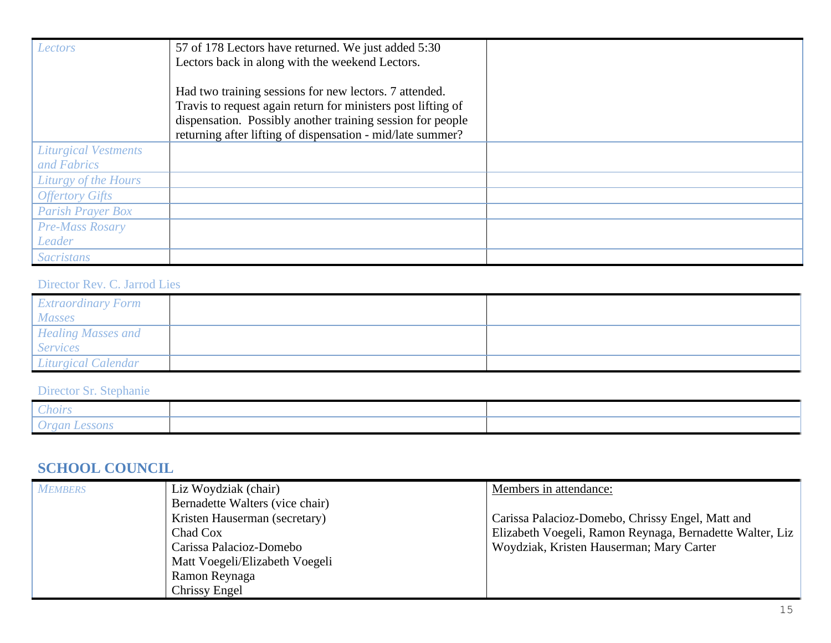| Lectors                     | 57 of 178 Lectors have returned. We just added 5:30<br>Lectors back in along with the weekend Lectors.                 |  |
|-----------------------------|------------------------------------------------------------------------------------------------------------------------|--|
|                             |                                                                                                                        |  |
|                             | Had two training sessions for new lectors. 7 attended.<br>Travis to request again return for ministers post lifting of |  |
|                             | dispensation. Possibly another training session for people                                                             |  |
|                             | returning after lifting of dispensation - mid/late summer?                                                             |  |
| <b>Liturgical Vestments</b> |                                                                                                                        |  |
| and Fabrics                 |                                                                                                                        |  |
| Liturgy of the Hours        |                                                                                                                        |  |
| <b>Offertory Gifts</b>      |                                                                                                                        |  |
| <b>Parish Prayer Box</b>    |                                                                                                                        |  |
| <b>Pre-Mass Rosary</b>      |                                                                                                                        |  |
| Leader                      |                                                                                                                        |  |
| <b>Sacristans</b>           |                                                                                                                        |  |

#### Director Rev. C. Jarrod Lies

| <b>Extraordinary Form</b><br><b>Masses</b>   |  |
|----------------------------------------------|--|
| <b>Healing Masses and</b><br><b>Services</b> |  |
| Liturgical Calendar                          |  |

# Director Sr. Stephanie

| hoirs                   |  |
|-------------------------|--|
| <b>BACK CERA</b><br>vom |  |

# **SCHOOL COUNCIL**

| <b>MEMBERS</b> | Liz Woydziak (chair)            | Members in attendance:                                   |
|----------------|---------------------------------|----------------------------------------------------------|
|                | Bernadette Walters (vice chair) |                                                          |
|                | Kristen Hauserman (secretary)   | Carissa Palacioz-Domebo, Chrissy Engel, Matt and         |
|                | Chad Cox                        | Elizabeth Voegeli, Ramon Reynaga, Bernadette Walter, Liz |
|                | Carissa Palacioz-Domebo         | Woydziak, Kristen Hauserman; Mary Carter                 |
|                | Matt Voegeli/Elizabeth Voegeli  |                                                          |
|                | Ramon Reynaga                   |                                                          |
|                | Chrissy Engel                   |                                                          |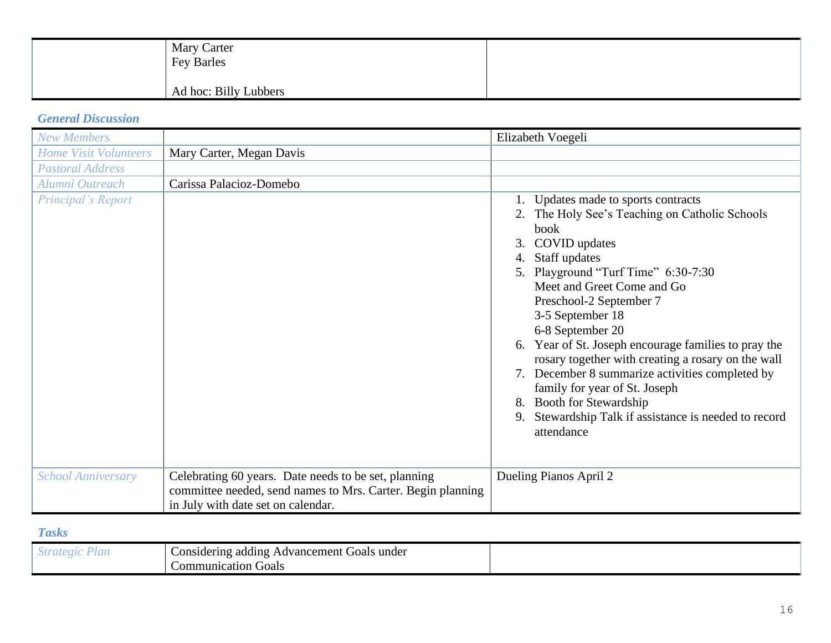| <b>Mary Carter</b><br>Fey Barles |  |
|----------------------------------|--|
| Ad hoc: Billy Lubbers            |  |

#### *General Discussion*

| <b>New Members</b>           |                                                                                                                                                           | Elizabeth Voegeli                                                                                                                                                                                                                                                                                                                                                                                                                                                                                                                                                               |
|------------------------------|-----------------------------------------------------------------------------------------------------------------------------------------------------------|---------------------------------------------------------------------------------------------------------------------------------------------------------------------------------------------------------------------------------------------------------------------------------------------------------------------------------------------------------------------------------------------------------------------------------------------------------------------------------------------------------------------------------------------------------------------------------|
| <b>Home Visit Volunteers</b> | Mary Carter, Megan Davis                                                                                                                                  |                                                                                                                                                                                                                                                                                                                                                                                                                                                                                                                                                                                 |
| <b>Pastoral Address</b>      |                                                                                                                                                           |                                                                                                                                                                                                                                                                                                                                                                                                                                                                                                                                                                                 |
| Alumni Outreach              | Carissa Palacioz-Domebo                                                                                                                                   |                                                                                                                                                                                                                                                                                                                                                                                                                                                                                                                                                                                 |
| Principal's Report           |                                                                                                                                                           | Updates made to sports contracts<br>2. The Holy See's Teaching on Catholic Schools<br>book<br>COVID updates<br>3.<br>Staff updates<br>5. Playground "Turf Time" 6:30-7:30<br>Meet and Greet Come and Go<br>Preschool-2 September 7<br>3-5 September 18<br>6-8 September 20<br>6. Year of St. Joseph encourage families to pray the<br>rosary together with creating a rosary on the wall<br>7. December 8 summarize activities completed by<br>family for year of St. Joseph<br>8. Booth for Stewardship<br>9. Stewardship Talk if assistance is needed to record<br>attendance |
| <b>School Anniversary</b>    | Celebrating 60 years. Date needs to be set, planning<br>committee needed, send names to Mrs. Carter. Begin planning<br>in July with date set on calendar. | Dueling Pianos April 2                                                                                                                                                                                                                                                                                                                                                                                                                                                                                                                                                          |

## *Tasks*

| under<br>Advancement<br>Goals<br>onsidering<br>adding |  |
|-------------------------------------------------------|--|
| Communication_<br>Goals                               |  |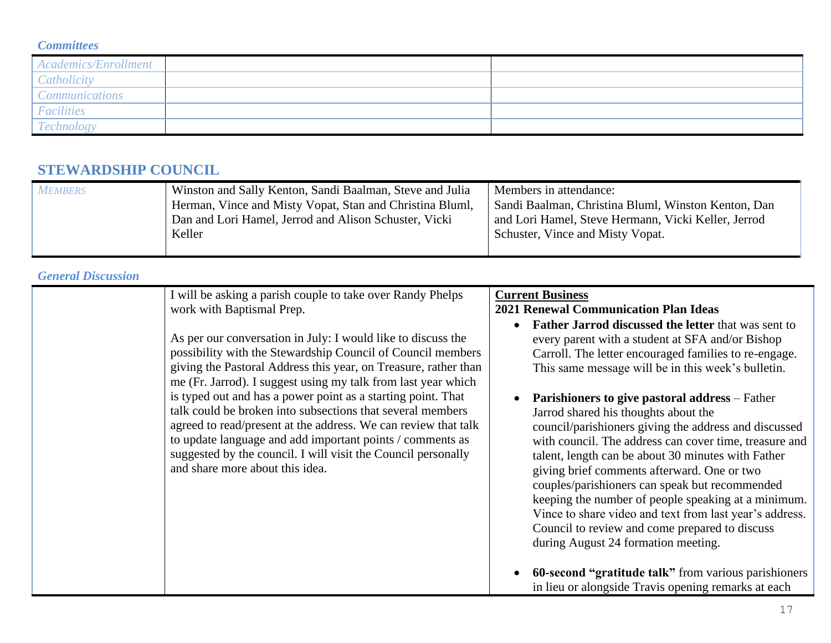#### *Committees*

| Academics/Enrollment                |  |
|-------------------------------------|--|
| $l:$                                |  |
| <i>`ommunications</i>               |  |
| <b>Facilities</b>                   |  |
| $\overline{a}$<br><i>Fechnology</i> |  |

# **STEWARDSHIP COUNCIL**

| <b>MEMBERS</b> | Winston and Sally Kenton, Sandi Baalman, Steve and Julia | Members in attendance:                              |
|----------------|----------------------------------------------------------|-----------------------------------------------------|
|                | Herman, Vince and Misty Vopat, Stan and Christina Bluml, | Sandi Baalman, Christina Bluml, Winston Kenton, Dan |
|                | Dan and Lori Hamel, Jerrod and Alison Schuster, Vicki    | and Lori Hamel, Steve Hermann, Vicki Keller, Jerrod |
|                | Keller                                                   | Schuster, Vince and Misty Vopat.                    |
|                |                                                          |                                                     |

## *General Discussion*

| I will be asking a parish couple to take over Randy Phelps<br>work with Baptismal Prep.                                                                                                                                                                                                                                                                                                                                                                                                                                                                                                                                          | <b>Current Business</b><br><b>2021 Renewal Communication Plan Ideas</b>                                                                                                                                                                                                                                                                                                                                                                                                                                                                                                                                                                                                                                                                                                                                             |
|----------------------------------------------------------------------------------------------------------------------------------------------------------------------------------------------------------------------------------------------------------------------------------------------------------------------------------------------------------------------------------------------------------------------------------------------------------------------------------------------------------------------------------------------------------------------------------------------------------------------------------|---------------------------------------------------------------------------------------------------------------------------------------------------------------------------------------------------------------------------------------------------------------------------------------------------------------------------------------------------------------------------------------------------------------------------------------------------------------------------------------------------------------------------------------------------------------------------------------------------------------------------------------------------------------------------------------------------------------------------------------------------------------------------------------------------------------------|
| As per our conversation in July: I would like to discuss the<br>possibility with the Stewardship Council of Council members<br>giving the Pastoral Address this year, on Treasure, rather than<br>me (Fr. Jarrod). I suggest using my talk from last year which<br>is typed out and has a power point as a starting point. That<br>talk could be broken into subsections that several members<br>agreed to read/present at the address. We can review that talk<br>to update language and add important points / comments as<br>suggested by the council. I will visit the Council personally<br>and share more about this idea. | <b>Father Jarrod discussed the letter that was sent to</b><br>every parent with a student at SFA and/or Bishop<br>Carroll. The letter encouraged families to re-engage.<br>This same message will be in this week's bulletin.<br><b>Parishioners to give pastoral address</b> – Father<br>Jarrod shared his thoughts about the<br>council/parishioners giving the address and discussed<br>with council. The address can cover time, treasure and<br>talent, length can be about 30 minutes with Father<br>giving brief comments afterward. One or two<br>couples/parishioners can speak but recommended<br>keeping the number of people speaking at a minimum.<br>Vince to share video and text from last year's address.<br>Council to review and come prepared to discuss<br>during August 24 formation meeting. |
|                                                                                                                                                                                                                                                                                                                                                                                                                                                                                                                                                                                                                                  | <b>60-second "gratitude talk"</b> from various parishioners<br>in lieu or alongside Travis opening remarks at each                                                                                                                                                                                                                                                                                                                                                                                                                                                                                                                                                                                                                                                                                                  |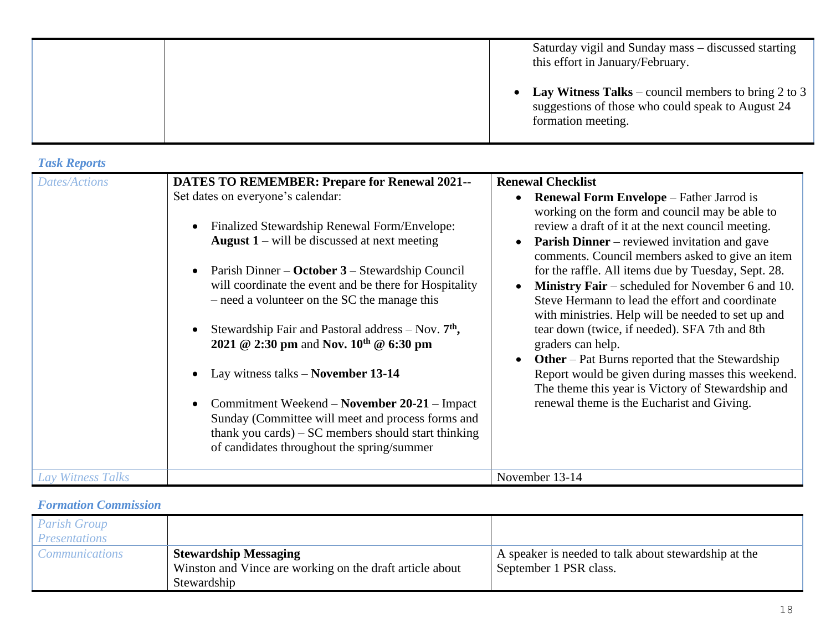|  | Saturday vigil and Sunday mass – discussed starting<br>this effort in January/February.                                          |
|--|----------------------------------------------------------------------------------------------------------------------------------|
|  | • Lay Witness Talks – council members to bring 2 to 3<br>suggestions of those who could speak to August 24<br>formation meeting. |

#### *Task Reports*

| <b>Dates/Actions</b> | <b>DATES TO REMEMBER: Prepare for Renewal 2021--</b><br>Set dates on everyone's calendar:<br>Finalized Stewardship Renewal Form/Envelope:<br><b>August 1</b> – will be discussed at next meeting<br>Parish Dinner – October 3 – Stewardship Council<br>will coordinate the event and be there for Hospitality<br>- need a volunteer on the SC the manage this<br>Stewardship Fair and Pastoral address $-$ Nov. $7th$ ,<br>2021 @ 2:30 pm and Nov. $10^{th}$ @ 6:30 pm<br>Lay witness talks – November 13-14<br>Commitment Weekend - November 20-21 - Impact<br>Sunday (Committee will meet and process forms and<br>thank you cards) $-SC$ members should start thinking<br>of candidates throughout the spring/summer | <b>Renewal Checklist</b><br><b>Renewal Form Envelope</b> – Father Jarrod is<br>working on the form and council may be able to<br>review a draft of it at the next council meeting.<br><b>Parish Dinner</b> – reviewed invitation and gave<br>comments. Council members asked to give an item<br>for the raffle. All items due by Tuesday, Sept. 28.<br><b>Ministry Fair</b> – scheduled for November 6 and 10.<br>Steve Hermann to lead the effort and coordinate<br>with ministries. Help will be needed to set up and<br>tear down (twice, if needed). SFA 7th and 8th<br>graders can help.<br><b>Other</b> – Pat Burns reported that the Stewardship<br>Report would be given during masses this weekend.<br>The theme this year is Victory of Stewardship and<br>renewal theme is the Eucharist and Giving. |
|----------------------|-------------------------------------------------------------------------------------------------------------------------------------------------------------------------------------------------------------------------------------------------------------------------------------------------------------------------------------------------------------------------------------------------------------------------------------------------------------------------------------------------------------------------------------------------------------------------------------------------------------------------------------------------------------------------------------------------------------------------|-----------------------------------------------------------------------------------------------------------------------------------------------------------------------------------------------------------------------------------------------------------------------------------------------------------------------------------------------------------------------------------------------------------------------------------------------------------------------------------------------------------------------------------------------------------------------------------------------------------------------------------------------------------------------------------------------------------------------------------------------------------------------------------------------------------------|
| Lay Witness Talks    |                                                                                                                                                                                                                                                                                                                                                                                                                                                                                                                                                                                                                                                                                                                         | November 13-14                                                                                                                                                                                                                                                                                                                                                                                                                                                                                                                                                                                                                                                                                                                                                                                                  |

## *Formation Commission*

| <b>Parish Group</b><br><i>Presentations</i> |                                                          |                                                      |
|---------------------------------------------|----------------------------------------------------------|------------------------------------------------------|
| <i>Communications</i>                       | <b>Stewardship Messaging</b>                             | A speaker is needed to talk about stewardship at the |
|                                             | Winston and Vince are working on the draft article about | September 1 PSR class.                               |
|                                             | Stewardship                                              |                                                      |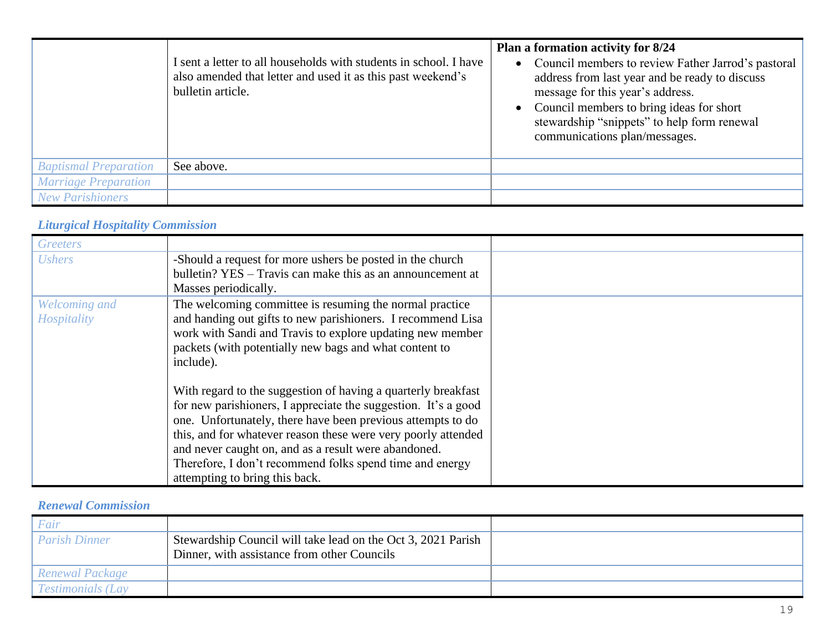|                              | I sent a letter to all households with students in school. I have<br>also amended that letter and used it as this past weekend's<br>bulletin article. | Plan a formation activity for 8/24<br>Council members to review Father Jarrod's pastoral<br>$\bullet$<br>address from last year and be ready to discuss<br>message for this year's address.<br>Council members to bring ideas for short<br>stewardship "snippets" to help form renewal<br>communications plan/messages. |
|------------------------------|-------------------------------------------------------------------------------------------------------------------------------------------------------|-------------------------------------------------------------------------------------------------------------------------------------------------------------------------------------------------------------------------------------------------------------------------------------------------------------------------|
| <b>Baptismal Preparation</b> | See above.                                                                                                                                            |                                                                                                                                                                                                                                                                                                                         |
| <b>Marriage Preparation</b>  |                                                                                                                                                       |                                                                                                                                                                                                                                                                                                                         |
| <b>New Parishioners</b>      |                                                                                                                                                       |                                                                                                                                                                                                                                                                                                                         |

#### *Liturgical Hospitality Commission*

| Greeters                     |                                                                                                                                                                                                                                                                                                                                                                                                                       |
|------------------------------|-----------------------------------------------------------------------------------------------------------------------------------------------------------------------------------------------------------------------------------------------------------------------------------------------------------------------------------------------------------------------------------------------------------------------|
| <b>Ushers</b>                | -Should a request for more ushers be posted in the church<br>bulletin? YES – Travis can make this as an announcement at<br>Masses periodically.                                                                                                                                                                                                                                                                       |
| Welcoming and<br>Hospitality | The welcoming committee is resuming the normal practice<br>and handing out gifts to new parishioners. I recommend Lisa<br>work with Sandi and Travis to explore updating new member<br>packets (with potentially new bags and what content to<br>include).                                                                                                                                                            |
|                              | With regard to the suggestion of having a quarterly breakfast<br>for new parishioners, I appreciate the suggestion. It's a good<br>one. Unfortunately, there have been previous attempts to do<br>this, and for whatever reason these were very poorly attended<br>and never caught on, and as a result were abandoned.<br>Therefore, I don't recommend folks spend time and energy<br>attempting to bring this back. |

## *Renewal Commission*

| Fair                     |                                                                                                             |  |
|--------------------------|-------------------------------------------------------------------------------------------------------------|--|
| <b>Parish Dinner</b>     | Stewardship Council will take lead on the Oct 3, 2021 Parish<br>Dinner, with assistance from other Councils |  |
| Renewal Package          |                                                                                                             |  |
| <b>Testimonials (Lay</b> |                                                                                                             |  |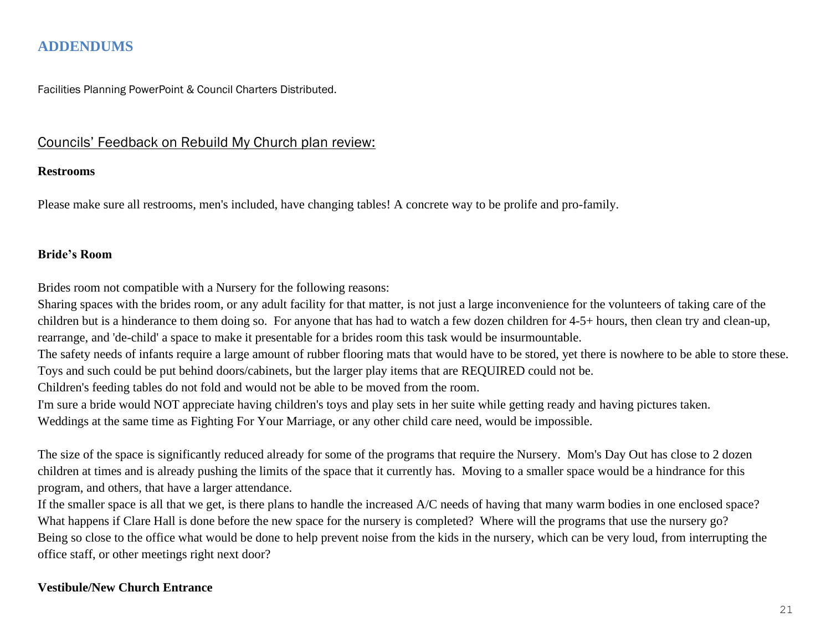# **ADDENDUMS**

Facilities Planning PowerPoint & Council Charters Distributed.

#### Councils' Feedback on Rebuild My Church plan review:

#### **Restrooms**

Please make sure all restrooms, men's included, have changing tables! A concrete way to be prolife and pro-family.

#### **Bride's Room**

Brides room not compatible with a Nursery for the following reasons:

Sharing spaces with the brides room, or any adult facility for that matter, is not just a large inconvenience for the volunteers of taking care of the children but is a hinderance to them doing so. For anyone that has had to watch a few dozen children for 4-5+ hours, then clean try and clean-up, rearrange, and 'de-child' a space to make it presentable for a brides room this task would be insurmountable.

The safety needs of infants require a large amount of rubber flooring mats that would have to be stored, yet there is nowhere to be able to store these. Toys and such could be put behind doors/cabinets, but the larger play items that are REQUIRED could not be.

Children's feeding tables do not fold and would not be able to be moved from the room.

I'm sure a bride would NOT appreciate having children's toys and play sets in her suite while getting ready and having pictures taken.

Weddings at the same time as Fighting For Your Marriage, or any other child care need, would be impossible.

The size of the space is significantly reduced already for some of the programs that require the Nursery. Mom's Day Out has close to 2 dozen children at times and is already pushing the limits of the space that it currently has. Moving to a smaller space would be a hindrance for this program, and others, that have a larger attendance.

If the smaller space is all that we get, is there plans to handle the increased A/C needs of having that many warm bodies in one enclosed space? What happens if Clare Hall is done before the new space for the nursery is completed? Where will the programs that use the nursery go? Being so close to the office what would be done to help prevent noise from the kids in the nursery, which can be very loud, from interrupting the office staff, or other meetings right next door?

#### **Vestibule/New Church Entrance**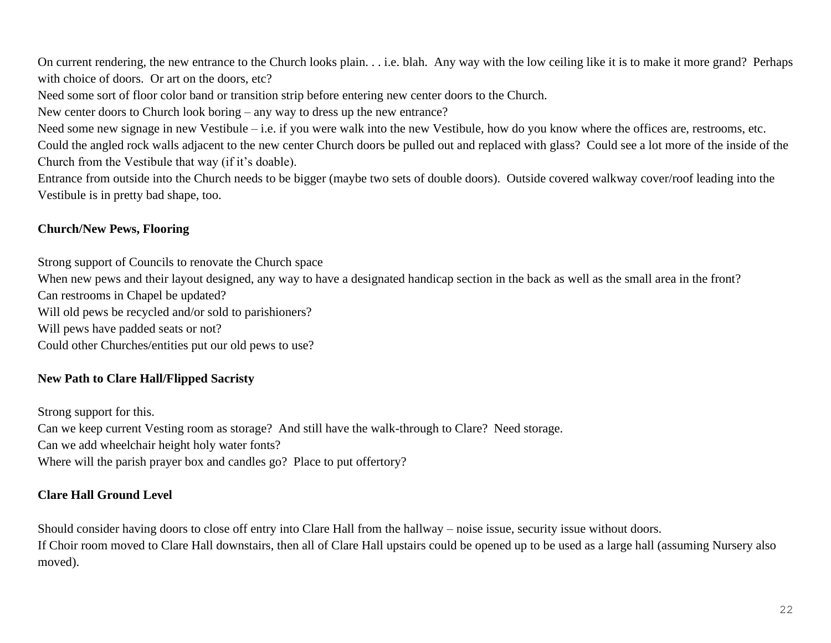On current rendering, the new entrance to the Church looks plain. . . i.e. blah. Any way with the low ceiling like it is to make it more grand? Perhaps with choice of doors. Or art on the doors, etc?

Need some sort of floor color band or transition strip before entering new center doors to the Church.

New center doors to Church look boring – any way to dress up the new entrance?

Need some new signage in new Vestibule – i.e. if you were walk into the new Vestibule, how do you know where the offices are, restrooms, etc. Could the angled rock walls adjacent to the new center Church doors be pulled out and replaced with glass? Could see a lot more of the inside of the Church from the Vestibule that way (if it's doable).

Entrance from outside into the Church needs to be bigger (maybe two sets of double doors). Outside covered walkway cover/roof leading into the Vestibule is in pretty bad shape, too.

#### **Church/New Pews, Flooring**

Strong support of Councils to renovate the Church space

When new pews and their layout designed, any way to have a designated handicap section in the back as well as the small area in the front? Can restrooms in Chapel be updated?

Will old pews be recycled and/or sold to parishioners?

Will pews have padded seats or not?

Could other Churches/entities put our old pews to use?

#### **New Path to Clare Hall/Flipped Sacristy**

Strong support for this. Can we keep current Vesting room as storage? And still have the walk-through to Clare? Need storage. Can we add wheelchair height holy water fonts? Where will the parish prayer box and candles go? Place to put offertory?

#### **Clare Hall Ground Level**

Should consider having doors to close off entry into Clare Hall from the hallway – noise issue, security issue without doors.

If Choir room moved to Clare Hall downstairs, then all of Clare Hall upstairs could be opened up to be used as a large hall (assuming Nursery also moved).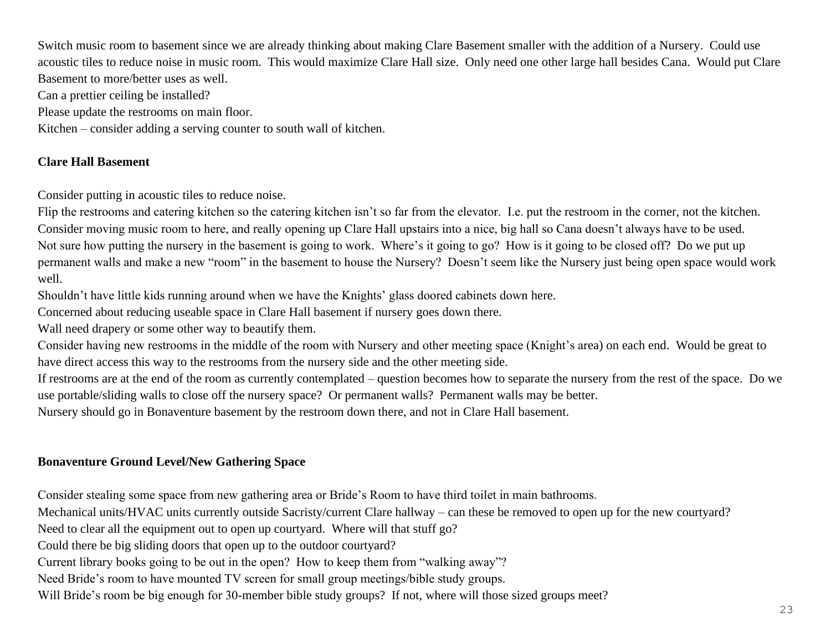Switch music room to basement since we are already thinking about making Clare Basement smaller with the addition of a Nursery. Could use acoustic tiles to reduce noise in music room. This would maximize Clare Hall size. Only need one other large hall besides Cana. Would put Clare Basement to more/better uses as well.

Can a prettier ceiling be installed?

Please update the restrooms on main floor.

Kitchen – consider adding a serving counter to south wall of kitchen.

#### **Clare Hall Basement**

Consider putting in acoustic tiles to reduce noise.

Flip the restrooms and catering kitchen so the catering kitchen isn't so far from the elevator. I.e. put the restroom in the corner, not the kitchen. Consider moving music room to here, and really opening up Clare Hall upstairs into a nice, big hall so Cana doesn't always have to be used. Not sure how putting the nursery in the basement is going to work. Where's it going to go? How is it going to be closed off? Do we put up permanent walls and make a new "room" in the basement to house the Nursery? Doesn't seem like the Nursery just being open space would work well.

Shouldn't have little kids running around when we have the Knights' glass doored cabinets down here.

Concerned about reducing useable space in Clare Hall basement if nursery goes down there.

Wall need drapery or some other way to beautify them.

Consider having new restrooms in the middle of the room with Nursery and other meeting space (Knight's area) on each end. Would be great to have direct access this way to the restrooms from the nursery side and the other meeting side.

If restrooms are at the end of the room as currently contemplated – question becomes how to separate the nursery from the rest of the space. Do we use portable/sliding walls to close off the nursery space? Or permanent walls? Permanent walls may be better.

Nursery should go in Bonaventure basement by the restroom down there, and not in Clare Hall basement.

# **Bonaventure Ground Level/New Gathering Space**

Consider stealing some space from new gathering area or Bride's Room to have third toilet in main bathrooms.

Mechanical units/HVAC units currently outside Sacristy/current Clare hallway – can these be removed to open up for the new courtyard?

Need to clear all the equipment out to open up courtyard. Where will that stuff go?

Could there be big sliding doors that open up to the outdoor courtyard?

Current library books going to be out in the open? How to keep them from "walking away"?

Need Bride's room to have mounted TV screen for small group meetings/bible study groups.

Will Bride's room be big enough for 30-member bible study groups? If not, where will those sized groups meet?